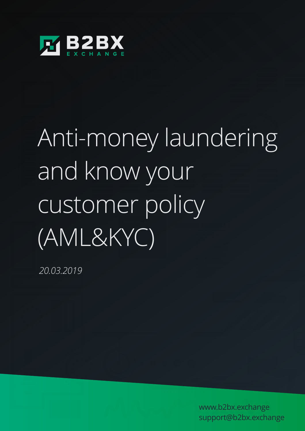

# Anti-money laundering and know your customer policy (AML&KYC)

*20.03.2019*

www.b2bx.exchange support@b2bx.exchange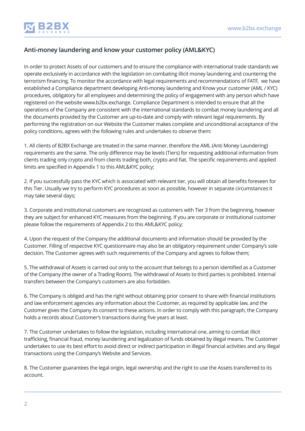

#### **Anti-money laundering and know your customer policy (AML&KYC)**

In order to protect Assets of our customers and to ensure the compliance with international trade standards we operate exclusively in accordance with the legislation on combating illicit money laundering and countering the terrorism financing. To monitor the accordance with legal requirements and recommendations of FATF, we have established a Compliance department developing Anti-money laundering and Know your customer (AML / KYC) procedures, obligatory for all employees and determining the policy of engagement with any person which have registered on the website www.b2bx.exchange. Compliance Department is intended to ensure that all the operations of the Company are consistent with the international standards to combat money laundering and all the documents provided by the Customer are up-to-date and comply with relevant legal requirements. By performing the registration on our Website the Customer makes complete and unconditional acceptance of the policy conditions, agrees with the following rules and undertakes to observe them:

1. All clients of B2BX Exchange are treated in the same manner, therefore the AML (Anti Money Laundering) requirements are the same. The only difference may be levels (Tiers) for requesting additional information from clients trading only crypto and from clients trading both, crypto and fiat. The specific requirements and applied limits are specified in Appendix 1 to this AML&KYC policy;

2. If you successfully pass the KYC which is associated with relevant tier, you will obtain all benefits foreseen for this Tier. Usually we try to perform KYC procedures as soon as possible, however in separate circumstances it may take several days;

3. Corporate and institutional customers are recognized as customers with Tier 3 from the beginning, however they are subject for enhanced KYC measures from the beginning. If you are corporate or institutional customer please follow the requirements of Appendix 2 to this AML&KYC policy;

4. Upon the request of the Company the additional documents and information should be provided by the Customer. Filling of respective KYC questionnaire may also be an obligatory requirement under Company's sole decision. The Customer agrees with such requirements of the Company and agrees to follow them;

5. The withdrawal of Assets is carried out only to the account that belongs to a person identified as a Customer of the Company (the owner of a Trading Room). The withdrawal of Assets to third parties is prohibited. Internal transfers between the Company's customers are also forbidden.

6. The Company is obliged and has the right without obtaining prior consent to share with financial institutions and law enforcement agencies any information about the Customer, as required by applicable law, and the Customer gives the Company its consent to these actions. In order to comply with this paragraph, the Company holds a records about Customer's transactions during five years at least.

7. The Customer undertakes to follow the legislation, including international one, aiming to combat illicit trafficking, financial fraud, money laundering and legalization of funds obtained by illegal means. The Customer undertakes to use its best effort to avoid direct or indirect participation in illegal financial activities and any illegal transactions using the Company's Website and Services.

8. The Customer guarantees the legal origin, legal ownership and the right to use the Assets transferred to its account.

9. In case of the evidence of suspicious transactions at the Customer's account, cash replenishments from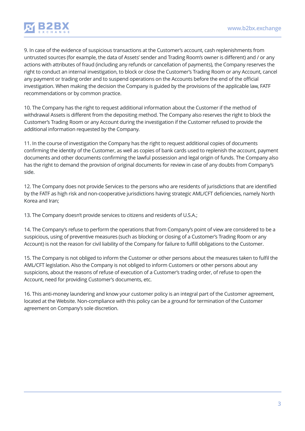

9. In case of the evidence of suspicious transactions at the Customer's account, cash replenishments from untrusted sources (for example, the data of Assets' sender and Trading Room's owner is different) and / or any actions with attributes of fraud (including any refunds or cancellation of payments), the Company reserves the right to conduct an internal investigation, to block or close the Customer's Trading Room or any Account, cancel any payment or trading order and to suspend operations on the Accounts before the end of the official investigation. When making the decision the Company is guided by the provisions of the applicable law, FATF recommendations or by common practice.

10. The Company has the right to request additional information about the Customer if the method of withdrawal Assets is different from the depositing method. The Company also reserves the right to block the Customer's Trading Room or any Account during the investigation if the Customer refused to provide the additional information requested by the Company.

11. In the course of investigation the Company has the right to request additional copies of documents confirming the identity of the Customer, as well as copies of bank cards used to replenish the account, payment documents and other documents confirming the lawful possession and legal origin of funds. The Company also has the right to demand the provision of original documents for review in case of any doubts from Company's side.

12. The Company does not provide Services to the persons who are residents of jurisdictions that are identified by the FATF as high risk and non-cooperative jurisdictions having strategic AML/CFT deficiencies, namely North Korea and Iran;

13. The Company doesn't provide services to citizens and residents of U.S.A.;

14. The Company's refuse to perform the operations that from Company's point of view are considered to be a suspicious, using of preventive measures (such as blocking or closing of a Customer's Trading Room or any Account) is not the reason for civil liability of the Company for failure to fulfill obligations to the Customer.

15. The Company is not obliged to inform the Customer or other persons about the measures taken to fulfil the AML/CFT legislation. Also the Company is not obliged to inform Customers or other persons about any suspicions, about the reasons of refuse of execution of a Customer's trading order, of refuse to open the Account, need for providing Customer's documents, etc.

16. This anti-money laundering and know your customer policy is an integral part of the Customer agreement, located at the Website. Non-compliance with this policy can be a ground for termination of the Customer agreement on Company's sole discretion.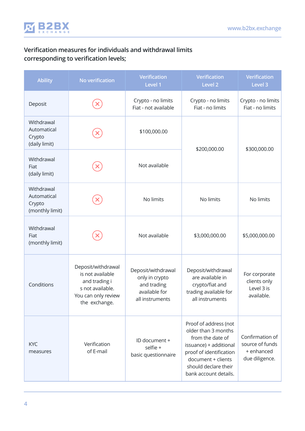

## **Verification measures for individuals and withdrawal limits corresponding to verification levels;**

| <b>Ability</b>                                         | No verification                                                                                                     | <b>Verification</b><br>Level 1                                                          | <b>Verification</b><br>Level <sub>2</sub>                                                                                                                                                    | <b>Verification</b><br>Level 3                                     |
|--------------------------------------------------------|---------------------------------------------------------------------------------------------------------------------|-----------------------------------------------------------------------------------------|----------------------------------------------------------------------------------------------------------------------------------------------------------------------------------------------|--------------------------------------------------------------------|
| Deposit                                                |                                                                                                                     | Crypto - no limits<br>Fiat - not available                                              | Crypto - no limits<br>Fiat - no limits                                                                                                                                                       | Crypto - no limits<br>Fiat - no limits                             |
| Withdrawal<br>Automatical<br>Crypto<br>(daily limit)   |                                                                                                                     | \$100,000.00                                                                            | \$200,000.00                                                                                                                                                                                 | \$300,000.00                                                       |
| Withdrawal<br>Fiat<br>(daily limit)                    |                                                                                                                     | Not available                                                                           |                                                                                                                                                                                              |                                                                    |
| Withdrawal<br>Automatical<br>Crypto<br>(monthly limit) |                                                                                                                     | No limits                                                                               | No limits                                                                                                                                                                                    | No limits                                                          |
| Withdrawal<br>Fiat<br>(monthly limit)                  |                                                                                                                     | Not available                                                                           | \$3,000,000.00                                                                                                                                                                               | \$5,000,000.00                                                     |
| Conditions                                             | Deposit/withdrawal<br>is not available<br>and trading i<br>s not available.<br>You can only review<br>the exchange. | Deposit/withdrawal<br>only in crypto<br>and trading<br>available for<br>all instruments | Deposit/withdrawal<br>are available in<br>crypto/fiat and<br>trading available for<br>all instruments                                                                                        | For corporate<br>clients only<br>Level 3 is<br>available.          |
| <b>KYC</b><br>measures                                 | Verification<br>of E-mail                                                                                           | ID document +<br>selfie +<br>basic questionnaire                                        | Proof of address (not<br>older than 3 months<br>from the date of<br>issuance) + additional<br>proof of identification<br>document + clients<br>should declare their<br>bank account details. | Confirmation of<br>source of funds<br>+ enhanced<br>due diligence. |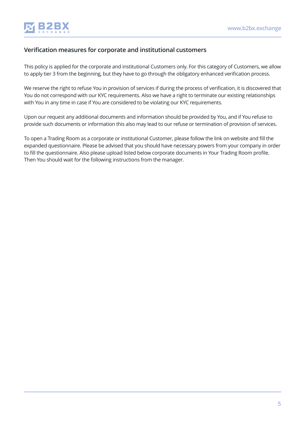

#### **Verification measures for corporate and institutional customers**

This policy is applied for the corporate and institutional Customers only. For this category of Customers, we allow to apply tier 3 from the beginning, but they have to go through the obligatory enhanced verification process.

We reserve the right to refuse You in provision of services if during the process of verification, it is discovered that You do not correspond with our KYC requirements. Also we have a right to terminate our existing relationships with You in any time in case if You are considered to be violating our KYC requirements.

Upon our request any additional documents and information should be provided by You, and if You refuse to provide such documents or information this also may lead to our refuse or termination of provision of services.

To open a Trading Room as a corporate or institutional Customer, please follow the link on website and fill the expanded questionnaire. Please be advised that you should have necessary powers from your company in order to fill the questionnaire. Also please upload listed below corporate documents in Your Trading Room profile. Then You should wait for the following instructions from the manager.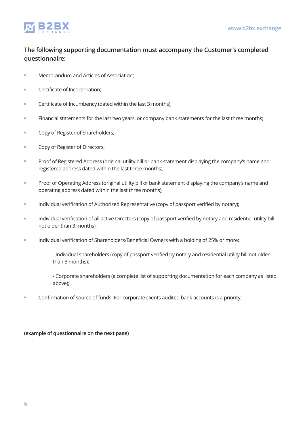

### **The following supporting documentation must accompany the Customer's completed questionnaire:**

- Memorandum and Articles of Association;
- Certificate of Incorporation;
- **Certificate of Incumbency (dated within the last 3 months);**
- **Financial statements for the last two years, or company bank statements for the last three months;**
- Copy of Register of Shareholders;
- **Copy of Register of Directors;**
- Proof of Registered Address (original utility bill or bank statement displaying the company's name and registered address dated within the last three months);
- $\bullet$ Proof of Operating Address (original utility bill of bank statement displaying the company's name and operating address dated within the last three months);
- Individual verification of Authorized Representative (copy of passport verified by notary);  $\bullet$
- Individual verification of all active Directors (copy of passport verified by notary and residential utility bill not older than 3 months);
- Individual verification of Shareholders/Beneficial Owners with a holding of 25% or more:
	- Individual shareholders (copy of passport verified by notary and residential utility bill not older than 3 months);
	- Corporate shareholders (a complete list of supporting documentation for each company as listed above);
- Confirmation of source of funds. For corporate clients audited bank accounts is a priority;

**(example of questionnaire on the next page)**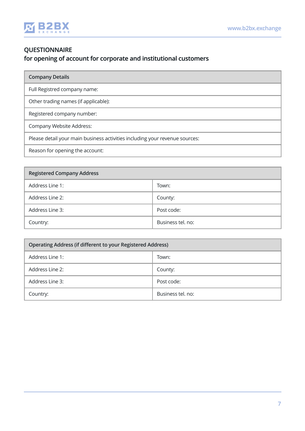

### **QUESTIONNAIRE for opening of account for corporate and institutional customers**

|  | <b>Company Details</b> |
|--|------------------------|
|  |                        |

Full Registred company name:

Other trading names (if applicable):

Registered company number:

Company Website Address:

Please detail your main business activities including your revenue sources:

Reason for opening the account:

| <b>Registered Company Address</b> |                   |  |
|-----------------------------------|-------------------|--|
| Address Line 1:                   | Town:             |  |
| Address Line 2:                   | County:           |  |
| Address Line 3:                   | Post code:        |  |
| Country:                          | Business tel. no: |  |

| Operating Address (if different to your Registered Address) |                   |  |
|-------------------------------------------------------------|-------------------|--|
| Address Line 1:                                             | Town:             |  |
| Address Line 2:                                             | County:           |  |
| Address Line 3:                                             | Post code:        |  |
| Country:                                                    | Business tel. no: |  |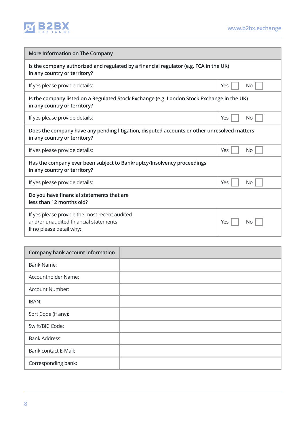

| More Information on The Company                                                                                             |                  |  |  |
|-----------------------------------------------------------------------------------------------------------------------------|------------------|--|--|
| Is the company authorized and regulated by a financial regulator (e.g. FCA in the UK)<br>in any country or territory?       |                  |  |  |
| If yes please provide details:                                                                                              | Yes<br>No.       |  |  |
| Is the company listed on a Regulated Stock Exchange (e.g. London Stock Exchange in the UK)<br>in any country or territory?  |                  |  |  |
| If yes please provide details:                                                                                              | Yes<br><b>No</b> |  |  |
| Does the company have any pending litigation, disputed accounts or other unresolved matters<br>in any country or territory? |                  |  |  |
| If yes please provide details:                                                                                              | Yes<br>No        |  |  |
| Has the company ever been subject to Bankruptcy/Insolvency proceedings<br>in any country or territory?                      |                  |  |  |
| If yes please provide details:                                                                                              | No<br>Yes        |  |  |
| Do you have financial statements that are<br>less than 12 months old?                                                       |                  |  |  |
| If yes please provide the most recent audited<br>and/or unaudited financial statements<br>If no please detail why:          | Yes<br>No.       |  |  |

| Company bank account information |  |
|----------------------------------|--|
| <b>Bank Name:</b>                |  |
| Accountholder Name:              |  |
| Account Number:                  |  |
| IBAN:                            |  |
| Sort Code (if any):              |  |
| Swift/BIC Code:                  |  |
| <b>Bank Address:</b>             |  |
| Bank contact E-Mail:             |  |
| Corresponding bank:              |  |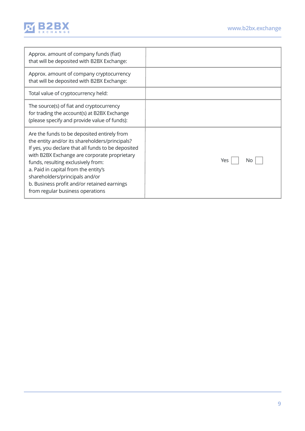

| Approx. amount of company funds (fiat)<br>that will be deposited with B2BX Exchange:                                                                                                                                                                                                                                                                                                                   |           |
|--------------------------------------------------------------------------------------------------------------------------------------------------------------------------------------------------------------------------------------------------------------------------------------------------------------------------------------------------------------------------------------------------------|-----------|
| Approx. amount of company cryptocurrency<br>that will be deposited with B2BX Exchange:                                                                                                                                                                                                                                                                                                                 |           |
| Total value of cryptocurrency held:                                                                                                                                                                                                                                                                                                                                                                    |           |
| The source(s) of fiat and cryptocurrency<br>for trading the account(s) at B2BX Exchange<br>(please specify and provide value of funds):                                                                                                                                                                                                                                                                |           |
| Are the funds to be deposited entirely from<br>the entity and/or its shareholders/principals?<br>If yes, you declare that all funds to be deposited<br>with B2BX Exchange are corporate proprietary<br>funds, resulting exclusively from:<br>a. Paid in capital from the entity's<br>shareholders/principals and/or<br>b. Business profit and/or retained earnings<br>from regular business operations | Yes<br>Nο |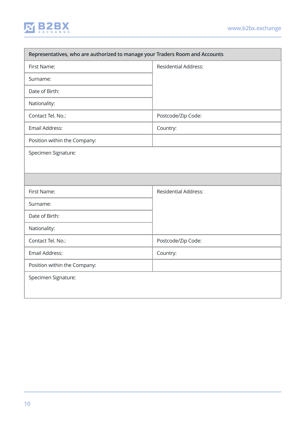

| Representatives, who are authorized to manage your Traders Room and Accounts |                             |  |
|------------------------------------------------------------------------------|-----------------------------|--|
| First Name:                                                                  | <b>Residential Address:</b> |  |
| Surname:                                                                     |                             |  |
| Date of Birth:                                                               |                             |  |
| Nationality:                                                                 |                             |  |
| Contact Tel. No.:                                                            | Postcode/Zip Code:          |  |
| Email Address:                                                               | Country:                    |  |
| Position within the Company:                                                 |                             |  |
| Specimen Signature:                                                          |                             |  |
|                                                                              |                             |  |
|                                                                              |                             |  |
| First Name:                                                                  | <b>Residential Address:</b> |  |
| Surname:                                                                     |                             |  |
| Date of Birth:                                                               |                             |  |
| Nationality:                                                                 |                             |  |
| Contact Tel. No.:                                                            | Postcode/Zip Code:          |  |
| Email Address:                                                               | Country:                    |  |
| Position within the Company:                                                 |                             |  |
| Specimen Signature:                                                          |                             |  |
|                                                                              |                             |  |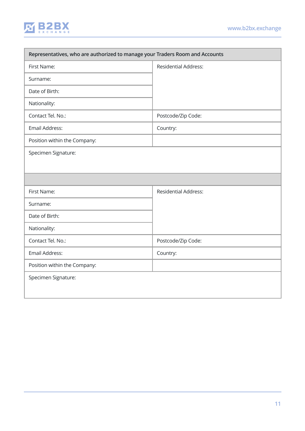

| Representatives, who are authorized to manage your Traders Room and Accounts |                             |  |
|------------------------------------------------------------------------------|-----------------------------|--|
| First Name:                                                                  | <b>Residential Address:</b> |  |
| Surname:                                                                     |                             |  |
| Date of Birth:                                                               |                             |  |
| Nationality:                                                                 |                             |  |
| Contact Tel. No.:                                                            | Postcode/Zip Code:          |  |
| Email Address:                                                               | Country:                    |  |
| Position within the Company:                                                 |                             |  |
| Specimen Signature:                                                          |                             |  |
|                                                                              |                             |  |
|                                                                              |                             |  |
| First Name:                                                                  | <b>Residential Address:</b> |  |
| Surname:                                                                     |                             |  |
| Date of Birth:                                                               |                             |  |
| Nationality:                                                                 |                             |  |
| Contact Tel. No.:                                                            | Postcode/Zip Code:          |  |
| Email Address:                                                               | Country:                    |  |
| Position within the Company:                                                 |                             |  |
| Specimen Signature:                                                          |                             |  |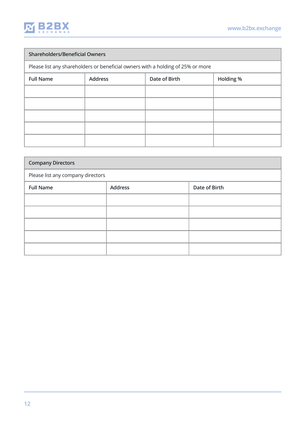

# **Shareholders/Beneficial Owners**  Please list any shareholders or beneficial owners with a holding of 25% or more Full Name **Address Address Address Date of Birth Holding %**

| <b>Company Directors</b>          |                |               |
|-----------------------------------|----------------|---------------|
| Please list any company directors |                |               |
| <b>Full Name</b>                  | <b>Address</b> | Date of Birth |
|                                   |                |               |
|                                   |                |               |
|                                   |                |               |
|                                   |                |               |
|                                   |                |               |